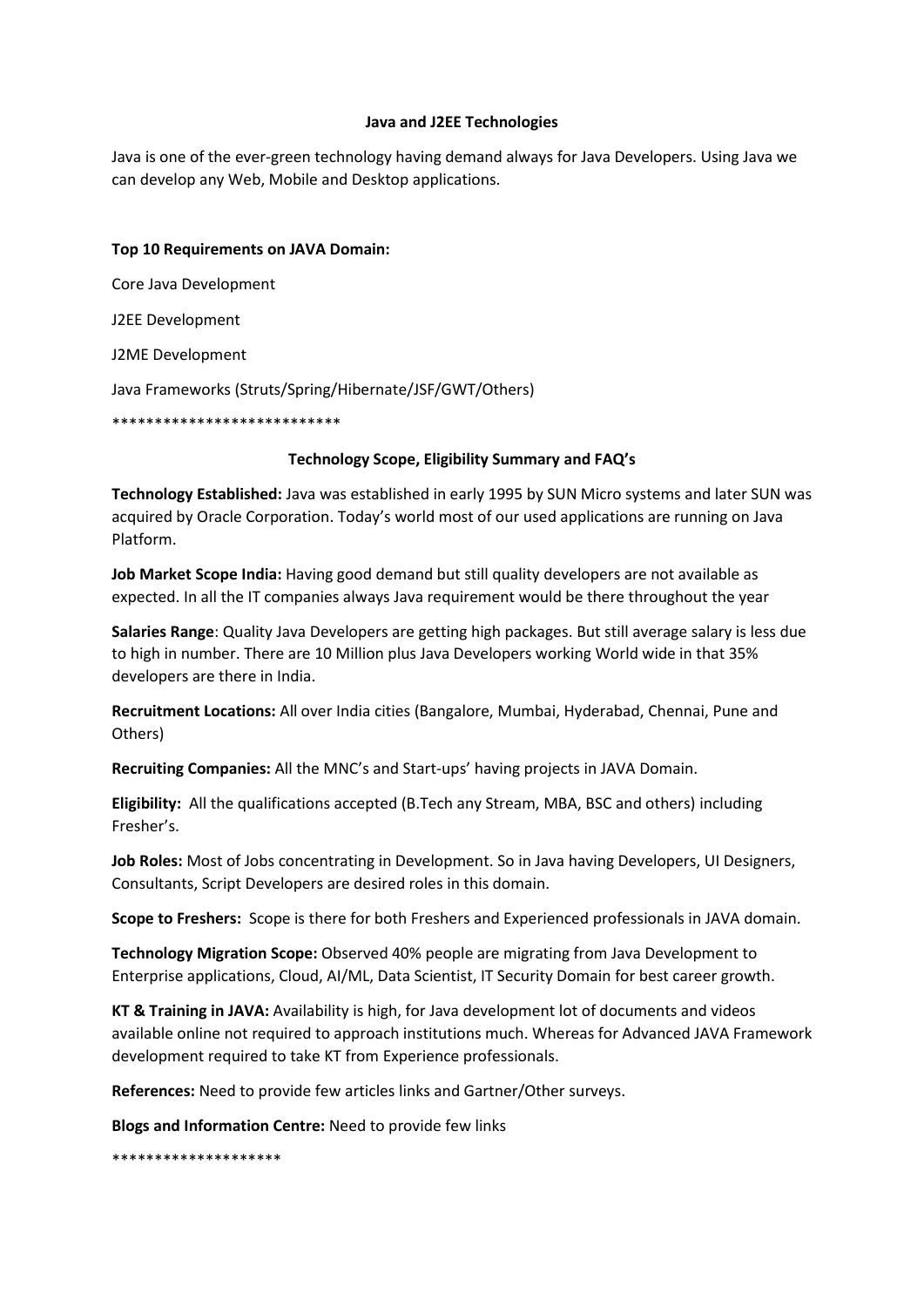## **Java and J2EE Technologies**

Java is one of the ever-green technology having demand always for Java Developers. Using Java we can develop any Web, Mobile and Desktop applications.

## **Top 10 Requirements on JAVA Domain:**

Core Java Development

J2EE Development

J2ME Development

Java Frameworks (Struts/Spring/Hibernate/JSF/GWT/Others)

\*\*\*\*\*\*\*\*\*\*\*\*\*\*\*\*\*\*\*\*\*\*\*\*\*\*\*

## **Technology Scope, Eligibility Summary and FAQ's**

**Technology Established:** Java was established in early 1995 by SUN Micro systems and later SUN was acquired by Oracle Corporation. Today's world most of our used applications are running on Java Platform.

**Job Market Scope India:** Having good demand but still quality developers are not available as expected. In all the IT companies always Java requirement would be there throughout the year

**Salaries Range**: Quality Java Developers are getting high packages. But still average salary is less due to high in number. There are 10 Million plus Java Developers working World wide in that 35% developers are there in India.

**Recruitment Locations:** All over India cities (Bangalore, Mumbai, Hyderabad, Chennai, Pune and Others)

**Recruiting Companies:** All the MNC's and Start-ups' having projects in JAVA Domain.

**Eligibility:** All the qualifications accepted (B.Tech any Stream, MBA, BSC and others) including Fresher's.

**Job Roles:** Most of Jobs concentrating in Development. So in Java having Developers, UI Designers, Consultants, Script Developers are desired roles in this domain.

**Scope to Freshers:** Scope is there for both Freshers and Experienced professionals in JAVA domain.

**Technology Migration Scope:** Observed 40% people are migrating from Java Development to Enterprise applications, Cloud, AI/ML, Data Scientist, IT Security Domain for best career growth.

**KT & Training in JAVA:** Availability is high, for Java development lot of documents and videos available online not required to approach institutions much. Whereas for Advanced JAVA Framework development required to take KT from Experience professionals.

**References:** Need to provide few articles links and Gartner/Other surveys.

**Blogs and Information Centre:** Need to provide few links

\*\*\*\*\*\*\*\*\*\*\*\*\*\*\*\*\*\*\*\*